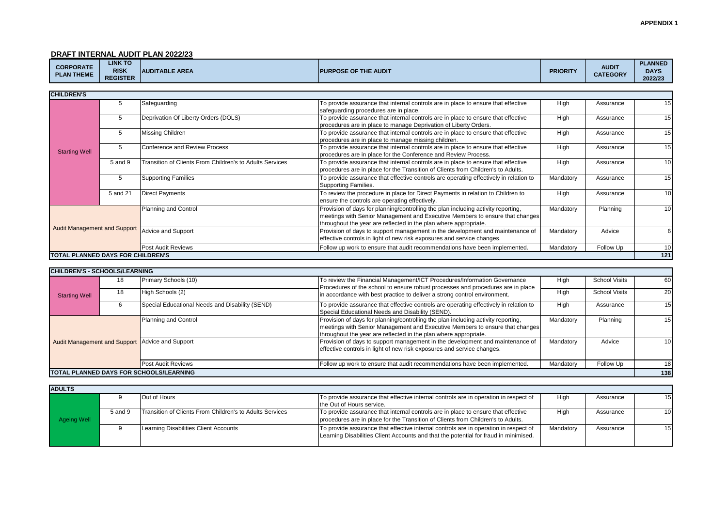**DRAFT INTERNAL AUDIT PLAN 2022/23**

| <b>CORPORATE</b><br><b>PLAN THEME</b> | <b>LINK TO</b><br><b>RISK</b><br><b>REGISTER</b> | <b>AUDITABLE AREA</b> | <b>IPURPOSE OF THE AUDIT</b> | <b>PRIORITY</b> | <b>AUDIT</b><br><b>CATEGORY</b> | <b>PLANNED</b><br><b>DAYS</b><br>2022/23 |
|---------------------------------------|--------------------------------------------------|-----------------------|------------------------------|-----------------|---------------------------------|------------------------------------------|
|---------------------------------------|--------------------------------------------------|-----------------------|------------------------------|-----------------|---------------------------------|------------------------------------------|

| <b>CHILDREN'S</b>                        |          |                                                          |                                                                                                                                                                                                                                       |           |           |                 |
|------------------------------------------|----------|----------------------------------------------------------|---------------------------------------------------------------------------------------------------------------------------------------------------------------------------------------------------------------------------------------|-----------|-----------|-----------------|
|                                          | 5        | Safeguarding                                             | To provide assurance that internal controls are in place to ensure that effective<br>safequarding procedures are in place.                                                                                                            | High      | Assurance | 15 <sup>1</sup> |
| <b>Starting Well</b>                     | 5        | Deprivation Of Liberty Orders (DOLS)                     | To provide assurance that internal controls are in place to ensure that effective<br>procedures are in place to manage Deprivation of Liberty Orders.                                                                                 | High      | Assurance | 15              |
|                                          | 5        | Missing Children                                         | To provide assurance that internal controls are in place to ensure that effective<br>procedures are in place to manage missing children.                                                                                              | High      | Assurance | 15              |
|                                          | 5        | Conference and Review Process                            | To provide assurance that internal controls are in place to ensure that effective<br>procedures are in place for the Conference and Review Process.                                                                                   | High      | Assurance | 15              |
|                                          | 5 and 9  | Transition of Clients From Children's to Adults Services | To provide assurance that internal controls are in place to ensure that effective<br>procedures are in place for the Transition of Clients from Children's to Adults.                                                                 | High      | Assurance | 10 <sup>1</sup> |
|                                          | 5        | <b>Supporting Families</b>                               | To provide assurance that effective controls are operating effectively in relation to<br>Supporting Families.                                                                                                                         | Mandatory | Assurance | 15 <sup>1</sup> |
|                                          | 5 and 21 | <b>Direct Payments</b>                                   | To review the procedure in place for Direct Payments in relation to Children to<br>ensure the controls are operating effectively.                                                                                                     | High      | Assurance | 10              |
|                                          |          | Planning and Control                                     | Provision of days for planning/controlling the plan including activity reporting,<br>meetings with Senior Management and Executive Members to ensure that changes<br>throughout the year are reflected in the plan where appropriate. | Mandatory | Planning  | 10 <sup>1</sup> |
| <b>Audit Management and Support</b>      |          | Advice and Support                                       | Provision of days to support management in the development and maintenance of<br>effective controls in light of new risk exposures and service changes.                                                                               | Mandatory | Advice    |                 |
|                                          |          | Post Audit Reviews                                       | Follow up work to ensure that audit recommendations have been implemented.                                                                                                                                                            | Mandatory | Follow Up | 10 <sup>1</sup> |
| <b>TOTAL PLANNED DAYS FOR CHILDREN'S</b> |          |                                                          |                                                                                                                                                                                                                                       |           |           | 121             |

| <b>CHILDREN'S - SCHOOLS/LEARNING</b>                   |    |                                                 |                                                                                                                                                                                                                                       |           |                      |     |
|--------------------------------------------------------|----|-------------------------------------------------|---------------------------------------------------------------------------------------------------------------------------------------------------------------------------------------------------------------------------------------|-----------|----------------------|-----|
|                                                        | 18 | Primary Schools (10)                            | To review the Financial Management/ICT Procedures/Information Governance<br>Procedures of the school to ensure robust processes and procedures are in place                                                                           | High      | <b>School Visits</b> | 60  |
| <b>Starting Well</b>                                   | 18 | High Schools (2)                                | in accordance with best practice to deliver a strong control environment.                                                                                                                                                             | High      | <b>School Visits</b> | 20  |
|                                                        |    | Special Educational Needs and Disability (SEND) | To provide assurance that effective controls are operating effectively in relation to<br>Special Educational Needs and Disability (SEND).                                                                                             | High      | Assurance            | 15  |
| <b>Audit Management and Support Advice and Support</b> |    | Planning and Control                            | Provision of days for planning/controlling the plan including activity reporting,<br>meetings with Senior Management and Executive Members to ensure that changes<br>throughout the year are reflected in the plan where appropriate. | Mandatory | Planning             | 15  |
|                                                        |    |                                                 | Provision of days to support management in the development and maintenance of<br>effective controls in light of new risk exposures and service changes.                                                                               | Mandatory | Advice               | 10  |
|                                                        |    | <b>Post Audit Reviews</b>                       | Follow up work to ensure that audit recommendations have been implemented.                                                                                                                                                            | Mandatory | Follow Up            | 18  |
|                                                        |    | TOTAL PLANNED DAYS FOR SCHOOLS/LEARNING         |                                                                                                                                                                                                                                       |           |                      | 138 |

| <b>ADULTS</b> |         |                                                          |                                                                                                                                                                              |           |           |                 |  |  |
|---------------|---------|----------------------------------------------------------|------------------------------------------------------------------------------------------------------------------------------------------------------------------------------|-----------|-----------|-----------------|--|--|
|               |         | Out of Hours                                             | To provide assurance that effective internal controls are in operation in respect of<br>the Out of Hours service.                                                            | High      | Assurance | 15I             |  |  |
| Ageing Well   | 5 and 9 | Transition of Clients From Children's to Adults Services | To provide assurance that internal controls are in place to ensure that effective<br>procedures are in place for the Transition of Clients from Children's to Adults.        | High      | Assurance | 10              |  |  |
|               |         | Learning Disabilities Client Accounts                    | To provide assurance that effective internal controls are in operation in respect of<br>Learning Disabilities Client Accounts and that the potential for fraud in minimised. | Mandatory | Assurance | 15 <sup>1</sup> |  |  |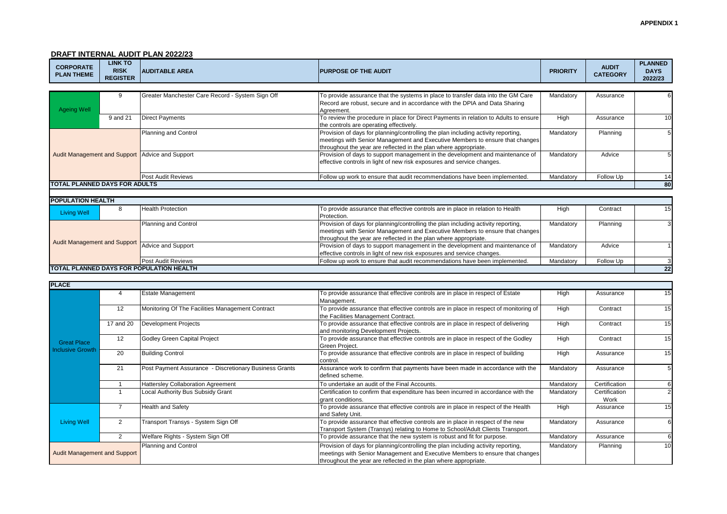#### **APPENDIX 1**

**22**

# **DRAFT INTERNAL AUDIT PLAN 2022/23**

**TOTAL PLANNED DAYS FOR POPULATION HEALTH**

| <b>CORPORATE</b><br><b>PLAN THEME</b> | <b>LINK TO</b><br><b>RISK</b><br><b>REGISTER</b> | <b>AUDITABLE AREA</b>                            | <b>PURPOSE OF THE AUDIT</b>                                                                                                                                                                                                           | <b>PRIORITY</b> | <b>AUDIT</b><br><b>CATEGORY</b> | <b>PLANNED</b><br><b>DAYS</b><br>2022/23 |
|---------------------------------------|--------------------------------------------------|--------------------------------------------------|---------------------------------------------------------------------------------------------------------------------------------------------------------------------------------------------------------------------------------------|-----------------|---------------------------------|------------------------------------------|
|                                       |                                                  |                                                  |                                                                                                                                                                                                                                       |                 |                                 |                                          |
| <b>Ageing Well</b>                    | 9                                                | Greater Manchester Care Record - System Sign Off | To provide assurance that the systems in place to transfer data into the GM Care<br>Record are robust, secure and in accordance with the DPIA and Data Sharing<br>Agreement.                                                          | Mandatory       | Assurance                       |                                          |
|                                       | 9 and 21                                         | <b>Direct Payments</b>                           | To review the procedure in place for Direct Payments in relation to Adults to ensure<br>the controls are operating effectively.                                                                                                       | High            | Assurance                       | 10                                       |
|                                       |                                                  | Planning and Control                             | Provision of days for planning/controlling the plan including activity reporting,<br>meetings with Senior Management and Executive Members to ensure that changes<br>throughout the year are reflected in the plan where appropriate. | Mandatory       | Planning                        |                                          |
|                                       |                                                  | Audit Management and Support Advice and Support  | Provision of days to support management in the development and maintenance of<br>effective controls in light of new risk exposures and service changes.                                                                               | Mandatory       | Advice                          |                                          |
|                                       |                                                  | Post Audit Reviews                               | Follow up work to ensure that audit recommendations have been implemented.                                                                                                                                                            | Mandatory       | Follow Up                       | 14                                       |
| <b>TOTAL PLANNED DAYS FOR ADULTS</b>  |                                                  |                                                  |                                                                                                                                                                                                                                       |                 |                                 | 80                                       |
|                                       |                                                  |                                                  |                                                                                                                                                                                                                                       |                 |                                 |                                          |
| <b>POPULATION HEALTH</b>              |                                                  |                                                  |                                                                                                                                                                                                                                       |                 |                                 |                                          |
| Living Well                           | 8                                                | <b>Health Protection</b>                         | To provide assurance that effective controls are in place in relation to Health<br>Protection.                                                                                                                                        | High            | Contract                        | 15                                       |
|                                       |                                                  | Planning and Control                             | Provision of days for planning/controlling the plan including activity reporting,<br>meetings with Senior Management and Executive Members to ensure that changes<br>throughout the year are reflected in the plan where appropriate. | Mandatory       | Planning                        |                                          |
| <b>Audit Management and Support</b>   |                                                  | Advice and Support                               | Provision of days to support management in the development and maintenance of<br>effective controls in light of new risk exposures and service changes.                                                                               | Mandatory       | Advice                          |                                          |
|                                       |                                                  | Post Audit Reviews                               | Follow up work to ensure that audit recommendations have been implemented.                                                                                                                                                            | Mandatory       | Follow Up                       |                                          |

| <b>PLACE</b>                        |                |                                                        |                                                                                                                                                                                                                                       |           |                       |                 |
|-------------------------------------|----------------|--------------------------------------------------------|---------------------------------------------------------------------------------------------------------------------------------------------------------------------------------------------------------------------------------------|-----------|-----------------------|-----------------|
|                                     |                | <b>Estate Management</b>                               | To provide assurance that effective controls are in place in respect of Estate<br>Management.                                                                                                                                         | High      | Assurance             | 15              |
|                                     | 12             | Monitoring Of The Facilities Management Contract       | To provide assurance that effective controls are in place in respect of monitoring of<br>the Facilities Management Contract.                                                                                                          | High      | Contract              | 15 <sup>1</sup> |
|                                     | 17 and 20      | <b>Development Projects</b>                            | To provide assurance that effective controls are in place in respect of delivering<br>and monitoring Development Projects.                                                                                                            | High      | Contract              | 15 <sup>1</sup> |
| <b>Great Place</b>                  | 12             | Godley Green Capital Project                           | To provide assurance that effective controls are in place in respect of the Godley<br>Green Project.                                                                                                                                  | High      | Contract              | 15 <sup>1</sup> |
| Inclusive Growth                    | 20             | <b>Building Control</b>                                | To provide assurance that effective controls are in place in respect of building<br>control.                                                                                                                                          | High      | Assurance             | 15 <sup>1</sup> |
|                                     | 21             | Post Payment Assurance - Discretionary Business Grants | Assurance work to confirm that payments have been made in accordance with the<br>defined scheme.                                                                                                                                      | Mandatory | Assurance             |                 |
|                                     |                | <b>Hattersley Collaboration Agreement</b>              | To undertake an audit of the Final Accounts.                                                                                                                                                                                          | Mandatory | Certification         | 61              |
|                                     |                | Local Authority Bus Subsidy Grant                      | Certification to confirm that expenditure has been incurred in accordance with the<br>grant conditions.                                                                                                                               | Mandatory | Certification<br>Work |                 |
|                                     |                | <b>Health and Safety</b>                               | To provide assurance that effective controls are in place in respect of the Health<br>and Safety Unit.                                                                                                                                | High      | Assurance             | 15              |
| <b>Living Well</b>                  | $\overline{2}$ | Transport Transys - System Sign Off                    | To provide assurance that effective controls are in place in respect of the new<br>Transport System (Transys) relating to Home to School/Adult Clients Transport.                                                                     | Mandatory | Assurance             | 61              |
|                                     | $\overline{2}$ | Welfare Rights - System Sign Off                       | To provide assurance that the new system is robust and fit for purpose.                                                                                                                                                               | Mandatory | Assurance             | 61              |
| <b>Audit Management and Support</b> |                | Planning and Control                                   | Provision of days for planning/controlling the plan including activity reporting,<br>meetings with Senior Management and Executive Members to ensure that changes<br>throughout the year are reflected in the plan where appropriate. | Mandatory | Planning              | 10 <sup>1</sup> |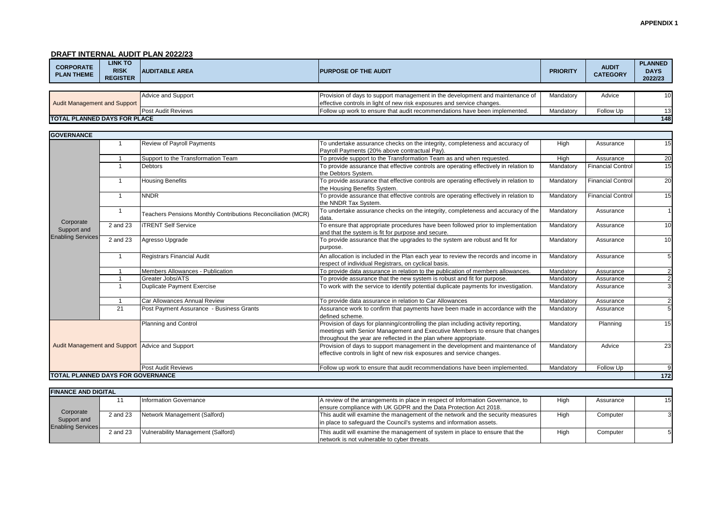#### **APPENDIX 1**

# **DRAFT INTERNAL AUDIT PLAN 2022/23**

| <b>CORPORATE</b><br><b>PLAN THEME</b> | <b>LINK TO</b><br><b>RISK</b><br><b>REGISTER</b> | <b>AUDITABLE AREA</b> | <b>IPURPOSE OF THE AUDIT</b>                                                    | <b>PRIORITY</b> | <b>AUDIT</b><br><b>CATEGORY</b> | <b>PLANNED</b><br><b>DAYS</b><br>2022/23 |
|---------------------------------------|--------------------------------------------------|-----------------------|---------------------------------------------------------------------------------|-----------------|---------------------------------|------------------------------------------|
|                                       |                                                  |                       |                                                                                 |                 |                                 |                                          |
|                                       |                                                  | Advice and Support    | I Provision of days to support management in the development and maintenance of | Mandatory       | Advice                          | 10 <sup>1</sup>                          |

| <b>TOTAL PLANNED DAYS FOR PLACE</b> |                                     |                           |                                                                               |           |                  |     |
|-------------------------------------|-------------------------------------|---------------------------|-------------------------------------------------------------------------------|-----------|------------------|-----|
|                                     |                                     | <b>Post Audit Reviews</b> | I Follow up work to ensure that audit recommendations have been implemented.  | Mandatory | <b>Follow Up</b> |     |
|                                     | <b>Audit Management and Support</b> |                           | effective controls in light of new risk exposures and service changes.        |           |                  |     |
|                                     |                                     | Advice and Support        | Provision of days to support management in the development and maintenance of | Mandatory | Advice           | 101 |

| <b>GOVERNANCE</b>                                    |                         |                                                              |                                                                                                                                                                                                                                       |           |                          |                  |
|------------------------------------------------------|-------------------------|--------------------------------------------------------------|---------------------------------------------------------------------------------------------------------------------------------------------------------------------------------------------------------------------------------------|-----------|--------------------------|------------------|
|                                                      |                         | <b>Review of Payroll Payments</b>                            | To undertake assurance checks on the integrity, completeness and accuracy of<br>Payroll Payments (20% above contractual Pay).                                                                                                         | High      | Assurance                | 15               |
|                                                      |                         | Support to the Transformation Team                           | To provide support to the Transformation Team as and when requested.                                                                                                                                                                  | High      | Assurance                | 20               |
| Corporate<br>Support and<br><b>Enabling Services</b> | $\mathbf{1}$            | <b>Debtors</b>                                               | To provide assurance that effective controls are operating effectively in relation to<br>the Debtors System.                                                                                                                          | Mandatory | <b>Financial Control</b> | 15               |
|                                                      |                         | <b>Housing Benefits</b>                                      | To provide assurance that effective controls are operating effectively in relation to<br>the Housing Benefits System.                                                                                                                 | Mandatory | <b>Financial Contro</b>  | 20               |
|                                                      | $\overline{1}$          | <b>NNDR</b>                                                  | To provide assurance that effective controls are operating effectively in relation to<br>the NNDR Tax System.                                                                                                                         | Mandatory | <b>Financial Control</b> | 15               |
|                                                      | $\overline{1}$          | Teachers Pensions Monthly Contributions Reconciliation (MCR) | To undertake assurance checks on the integrity, completeness and accuracy of the<br>data.                                                                                                                                             | Mandatory | Assurance                |                  |
|                                                      | 2 and 23                | <b>ITRENT Self Service</b>                                   | To ensure that appropriate procedures have been followed prior to implementation<br>and that the system is fit for purpose and secure.                                                                                                | Mandatory | Assurance                | 10               |
|                                                      | 2 and 23                | Agresso Upgrade                                              | To provide assurance that the upgrades to the system are robust and fit for<br>purpose.                                                                                                                                               | Mandatory | Assurance                | 10               |
|                                                      | $\overline{\mathbf{1}}$ | Registrars Financial Audit                                   | An allocation is included in the Plan each year to review the records and income in<br>respect of individual Registrars, on cyclical basis.                                                                                           | Mandatory | Assurance                | 5                |
|                                                      |                         | Members Allowances - Publication                             | To provide data assurance in relation to the publication of members allowances.                                                                                                                                                       | Mandatory | Assurance                |                  |
|                                                      |                         | Greater Jobs/ATS                                             | To provide assurance that the new system is robust and fit for purpose.                                                                                                                                                               | Mandatory | Assurance                | $\overline{2}$   |
|                                                      |                         | <b>Duplicate Payment Exercise</b>                            | To work with the service to identify potential duplicate payments for investigation.                                                                                                                                                  | Mandatory | Assurance                | 3                |
|                                                      |                         | Car Allowances Annual Review                                 | To provide data assurance in relation to Car Allowances                                                                                                                                                                               | Mandatory | Assurance                | $\overline{2}$   |
|                                                      | 21                      | Post Payment Assurance - Business Grants                     | Assurance work to confirm that payments have been made in accordance with the<br>defined scheme.                                                                                                                                      | Mandatory | Assurance                | 5                |
|                                                      |                         | Planning and Control                                         | Provision of days for planning/controlling the plan including activity reporting,<br>meetings with Senior Management and Executive Members to ensure that changes<br>throughout the year are reflected in the plan where appropriate. | Mandatory | Planning                 | 15               |
|                                                      |                         | Audit Management and Support Advice and Support              | Provision of days to support management in the development and maintenance of<br>effective controls in light of new risk exposures and service changes.                                                                               | Mandatory | Advice                   | 23               |
|                                                      |                         | <b>Post Audit Reviews</b>                                    | Follow up work to ensure that audit recommendations have been implemented.                                                                                                                                                            | Mandatory | Follow Up                | 9                |
| <b>TOTAL PLANNED DAYS FOR GOVERNANCE</b>             |                         |                                                              |                                                                                                                                                                                                                                       |           |                          | $\overline{172}$ |

| <b>IFINANCE AND DIGITAL</b>                          |          |                                    |                                                                                 |      |           |    |
|------------------------------------------------------|----------|------------------------------------|---------------------------------------------------------------------------------|------|-----------|----|
|                                                      |          | Information Governance             | A review of the arrangements in place in respect of Information Governance, to  | High | Assurance | 15 |
| Corporate<br>Support and<br><b>Enabling Services</b> |          |                                    | ensure compliance with UK GDPR and the Data Protection Act 2018.                |      |           |    |
|                                                      | 2 and 23 | Network Management (Salford)       | This audit will examine the management of the network and the security measures | High | Computer  |    |
|                                                      |          |                                    | in place to safeguard the Council's systems and information assets.             |      |           |    |
|                                                      | 2 and 23 | Vulnerability Management (Salford) | This audit will examine the management of system in place to ensure that the    | High | Computer  |    |
|                                                      |          |                                    | network is not vulnerable to cyber threats.                                     |      |           |    |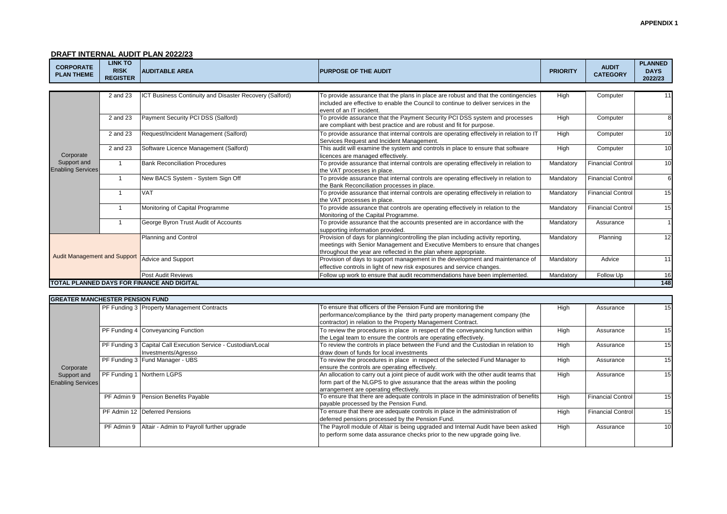# **DRAFT INTERNAL AUDIT PLAN 2022/23**

| <b>CORPORATE</b><br><b>PLAN THEME</b>   | <b>LINK TO</b><br><b>RISK</b><br><b>REGISTER</b> | <b>AUDITABLE AREA</b>                                   | <b>PURPOSE OF THE AUDIT</b>                                                                                                                                                                                                           | <b>PRIORITY</b> | <b>AUDIT</b><br><b>CATEGORY</b> | <b>PLANNED</b><br><b>DAYS</b><br>2022/23 |
|-----------------------------------------|--------------------------------------------------|---------------------------------------------------------|---------------------------------------------------------------------------------------------------------------------------------------------------------------------------------------------------------------------------------------|-----------------|---------------------------------|------------------------------------------|
|                                         |                                                  |                                                         |                                                                                                                                                                                                                                       |                 |                                 |                                          |
|                                         | 2 and 23                                         | ICT Business Continuity and Disaster Recovery (Salford) | To provide assurance that the plans in place are robust and that the contingencies<br>included are effective to enable the Council to continue to deliver services in the<br>event of an IT incident.                                 | High            | Computer                        |                                          |
|                                         | 2 and 23                                         | Payment Security PCI DSS (Salford)                      | To provide assurance that the Payment Security PCI DSS system and processes<br>are compliant with best practice and are robust and fit for purpose.                                                                                   | High            | Computer                        | 8                                        |
|                                         | 2 and 23                                         | Request/Incident Management (Salford)                   | To provide assurance that internal controls are operating effectively in relation to IT<br>Services Request and Incident Management.                                                                                                  | High            | Computer                        | 10                                       |
| Corporate                               | 2 and 23                                         | Software Licence Management (Salford)                   | This audit will examine the system and controls in place to ensure that software<br>licences are managed effectively.                                                                                                                 | High            | Computer                        | 10                                       |
| Support and<br><b>Enabling Services</b> |                                                  | <b>Bank Reconciliation Procedures</b>                   | To provide assurance that internal controls are operating effectively in relation to<br>the VAT processes in place.                                                                                                                   | Mandatory       | <b>Financial Control</b>        | 10                                       |
|                                         |                                                  | New BACS System - System Sign Off                       | To provide assurance that internal controls are operating effectively in relation to<br>the Bank Reconciliation processes in place.                                                                                                   | Mandatory       | <b>Financial Control</b>        | 6                                        |
|                                         |                                                  | <b>VAT</b>                                              | To provide assurance that internal controls are operating effectively in relation to<br>the VAT processes in place.                                                                                                                   | Mandatory       | <b>Financial Control</b>        | 15                                       |
|                                         |                                                  | Monitoring of Capital Programme                         | To provide assurance that controls are operating effectively in relation to the<br>Monitoring of the Capital Programme.                                                                                                               | Mandatory       | <b>Financial Control</b>        | 15                                       |
|                                         |                                                  | George Byron Trust Audit of Accounts                    | To provide assurance that the accounts presented are in accordance with the<br>supporting information provided.                                                                                                                       | Mandatory       | Assurance                       |                                          |
|                                         |                                                  | Planning and Control                                    | Provision of days for planning/controlling the plan including activity reporting,<br>meetings with Senior Management and Executive Members to ensure that changes<br>throughout the year are reflected in the plan where appropriate. | Mandatory       | Planning                        | 12                                       |
| <b>Audit Management and Support</b>     |                                                  | Advice and Support                                      | Provision of days to support management in the development and maintenance of<br>effective controls in light of new risk exposures and service changes.                                                                               | Mandatory       | Advice                          | 11                                       |
|                                         |                                                  | <b>Post Audit Reviews</b>                               | Follow up work to ensure that audit recommendations have been implemented.                                                                                                                                                            | Mandatory       | Follow Up                       | 16                                       |
|                                         |                                                  | TOTAL PLANNED DAYS FOR FINANCE AND DIGITAL              |                                                                                                                                                                                                                                       |                 |                                 | 148                                      |

| <b>GREATER MANCHESTER PENSION FUND</b>               |            |                                                                                      |                                                                                                                                                                                                                |      |                          |                 |
|------------------------------------------------------|------------|--------------------------------------------------------------------------------------|----------------------------------------------------------------------------------------------------------------------------------------------------------------------------------------------------------------|------|--------------------------|-----------------|
|                                                      |            | PF Funding 3 Property Management Contracts                                           | To ensure that officers of the Pension Fund are monitoring the<br>performance/compliance by the third party property management company (the<br>contractor) in relation to the Property Management Contract.   | High | Assurance                | 15              |
|                                                      |            | PF Funding 4 Conveyancing Function                                                   | To review the procedures in place in respect of the conveyancing function within<br>the Legal team to ensure the controls are operating effectively.                                                           | High | Assurance                | 15              |
|                                                      |            | PF Funding 3 Capital Call Execution Service - Custodian/Local<br>Investments/Agresso | To review the controls in place between the Fund and the Custodian in relation to<br>draw down of funds for local investments                                                                                  | High | Assurance                | 15              |
| Corporate<br>Support and<br><b>Enabling Services</b> |            | PF Funding 3 Fund Manager - UBS                                                      | To review the procedures in place in respect of the selected Fund Manager to<br>ensure the controls are operating effectively.                                                                                 | High | Assurance                | 15              |
|                                                      |            | PF Funding 1 Northern LGPS                                                           | An allocation to carry out a joint piece of audit work with the other audit teams that<br>form part of the NLGPS to give assurance that the areas within the pooling<br>arrangement are operating effectively. | High | Assurance                | 15              |
|                                                      | PF Admin 9 | Pension Benefits Payable                                                             | To ensure that there are adequate controls in place in the administration of benefits<br>payable processed by the Pension Fund.                                                                                | High | <b>Financial Control</b> | 15              |
|                                                      |            | PF Admin 12   Deferred Pensions                                                      | To ensure that there are adequate controls in place in the administration of<br>deferred pensions processed by the Pension Fund.                                                                               | High | <b>Financial Control</b> | 15              |
|                                                      |            | PF Admin 9 Altair - Admin to Payroll further upgrade                                 | The Payroll module of Altair is being upgraded and Internal Audit have been asked<br>to perform some data assurance checks prior to the new upgrade going live.                                                | High | Assurance                | 10 <sup>1</sup> |